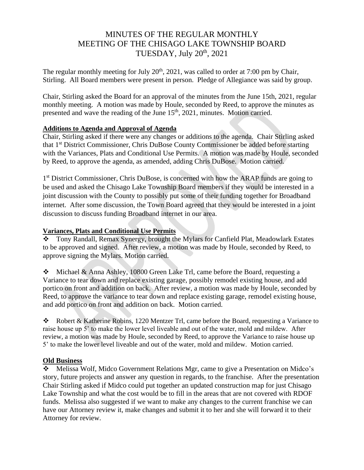# MINUTES OF THE REGULAR MONTHLY MEETING OF THE CHISAGO LAKE TOWNSHIP BOARD TUESDAY, July  $20<sup>th</sup>$ ,  $2021$

The regular monthly meeting for July  $20<sup>th</sup>$ ,  $2021$ , was called to order at 7:00 pm by Chair, Stirling. All Board members were present in person. Pledge of Allegiance was said by group.

Chair, Stirling asked the Board for an approval of the minutes from the June 15th, 2021, regular monthly meeting. A motion was made by Houle, seconded by Reed, to approve the minutes as presented and wave the reading of the June 15<sup>th</sup>, 2021, minutes. Motion carried.

# **Additions to Agenda and Approval of Agenda**

Chair, Stirling asked if there were any changes or additions to the agenda. Chair Stirling asked that 1 st District Commissioner, Chris DuBose County Commissioner be added before starting with the Variances, Plats and Conditional Use Permits. A motion was made by Houle, seconded by Reed, to approve the agenda, as amended, adding Chris DuBose. Motion carried.

1<sup>st</sup> District Commissioner, Chris DuBose, is concerned with how the ARAP funds are going to be used and asked the Chisago Lake Township Board members if they would be interested in a joint discussion with the County to possibly put some of their funding together for Broadband internet. After some discussion, the Town Board agreed that they would be interested in a joint discussion to discuss funding Broadband internet in our area.

## **Variances, Plats and Conditional Use Permits**

❖ Tony Randall, Remax Synergy, brought the Mylars for Canfield Plat, Meadowlark Estates to be approved and signed. After review, a motion was made by Houle, seconded by Reed, to approve signing the Mylars. Motion carried.

❖ Michael & Anna Ashley, 10800 Green Lake Trl, came before the Board, requesting a Variance to tear down and replace existing garage, possibly remodel existing house, and add portico on front and addition on back. After review, a motion was made by Houle, seconded by Reed, to approve the variance to tear down and replace existing garage, remodel existing house, and add portico on front and addition on back. Motion carried.

❖ Robert & Katherine Robins, 1220 Mentzer Trl, came before the Board, requesting a Variance to raise house up 5' to make the lower level liveable and out of the water, mold and mildew. After review, a motion was made by Houle, seconded by Reed, to approve the Variance to raise house up 5' to make the lower level liveable and out of the water, mold and mildew. Motion carried.

### **Old Business**

❖ Melissa Wolf, Midco Government Relations Mgr, came to give a Presentation on Midco's story, future projects and answer any question in regards, to the franchise. After the presentation Chair Stirling asked if Midco could put together an updated construction map for just Chisago Lake Township and what the cost would be to fill in the areas that are not covered with RDOF funds. Melissa also suggested if we want to make any changes to the current franchise we can have our Attorney review it, make changes and submit it to her and she will forward it to their Attorney for review.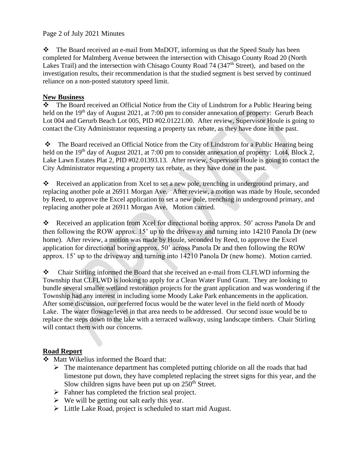## Page 2 of July 2021 Minutes

❖ The Board received an e-mail from MnDOT, informing us that the Speed Study has been completed for Malmberg Avenue between the intersection with Chisago County Road 20 (North Lakes Trail) and the intersection with Chisago County Road 74 (347<sup>th</sup> Street), and based on the investigation results, their recommendation is that the studied segment is best served by continued reliance on a non-posted statutory speed limit.

## **New Business**

❖ The Board received an Official Notice from the City of Lindstrom for a Public Hearing being held on the 19<sup>th</sup> day of August 2021, at 7:00 pm to consider annexation of property: Gerurb Beach Lot 004 and Gerurb Beach Lot 005, PID #02.01221.00. After review, Supervisor Houle is going to contact the City Administrator requesting a property tax rebate, as they have done in the past.

❖ The Board received an Official Notice from the City of Lindstrom for a Public Hearing being held on the 19<sup>th</sup> day of August 2021, at 7:00 pm to consider annexation of property: Lot4, Block 2, Lake Lawn Estates Plat 2, PID #02.01393.13. After review, Supervisor Houle is going to contact the City Administrator requesting a property tax rebate, as they have done in the past.

Received an application from Xcel to set a new pole, trenching in underground primary, and replacing another pole at 26911 Morgan Ave. After review, a motion was made by Houle, seconded by Reed, to approve the Excel application to set a new pole, trenching in underground primary, and replacing another pole at 26911 Morgan Ave. Motion carried.

❖ Received an application from Xcel for directional boring approx. 50' across Panola Dr and then following the ROW approx. 15' up to the driveway and turning into 14210 Panola Dr (new home). After review, a motion was made by Houle, seconded by Reed, to approve the Excel application for directional boring approx. 50' across Panola Dr and then following the ROW approx. 15' up to the driveway and turning into 14210 Panola Dr (new home). Motion carried.

❖ Chair Stirling informed the Board that she received an e-mail from CLFLWD informing the Township that CLFLWD is looking to apply for a Clean Water Fund Grant. They are looking to bundle several smaller wetland restoration projects for the grant application and was wondering if the Township had any interest in including some Moody Lake Park enhancements in the application. After some discussion, our preferred focus would be the water level in the field north of Moody Lake. The water flowage/level in that area needs to be addressed. Our second issue would be to replace the steps down to the lake with a terraced walkway, using landscape timbers. Chair Stirling will contact them with our concerns.

# **Road Report**

- ❖ Matt Wikelius informed the Board that:
	- $\triangleright$  The maintenance department has completed putting chloride on all the roads that had limestone put down, they have completed replacing the street signs for this year, and the Slow children signs have been put up on  $250<sup>th</sup>$  Street.
	- ➢ Fahner has completed the friction seal project.
	- $\triangleright$  We will be getting out salt early this year.
	- ➢ Little Lake Road, project is scheduled to start mid August.